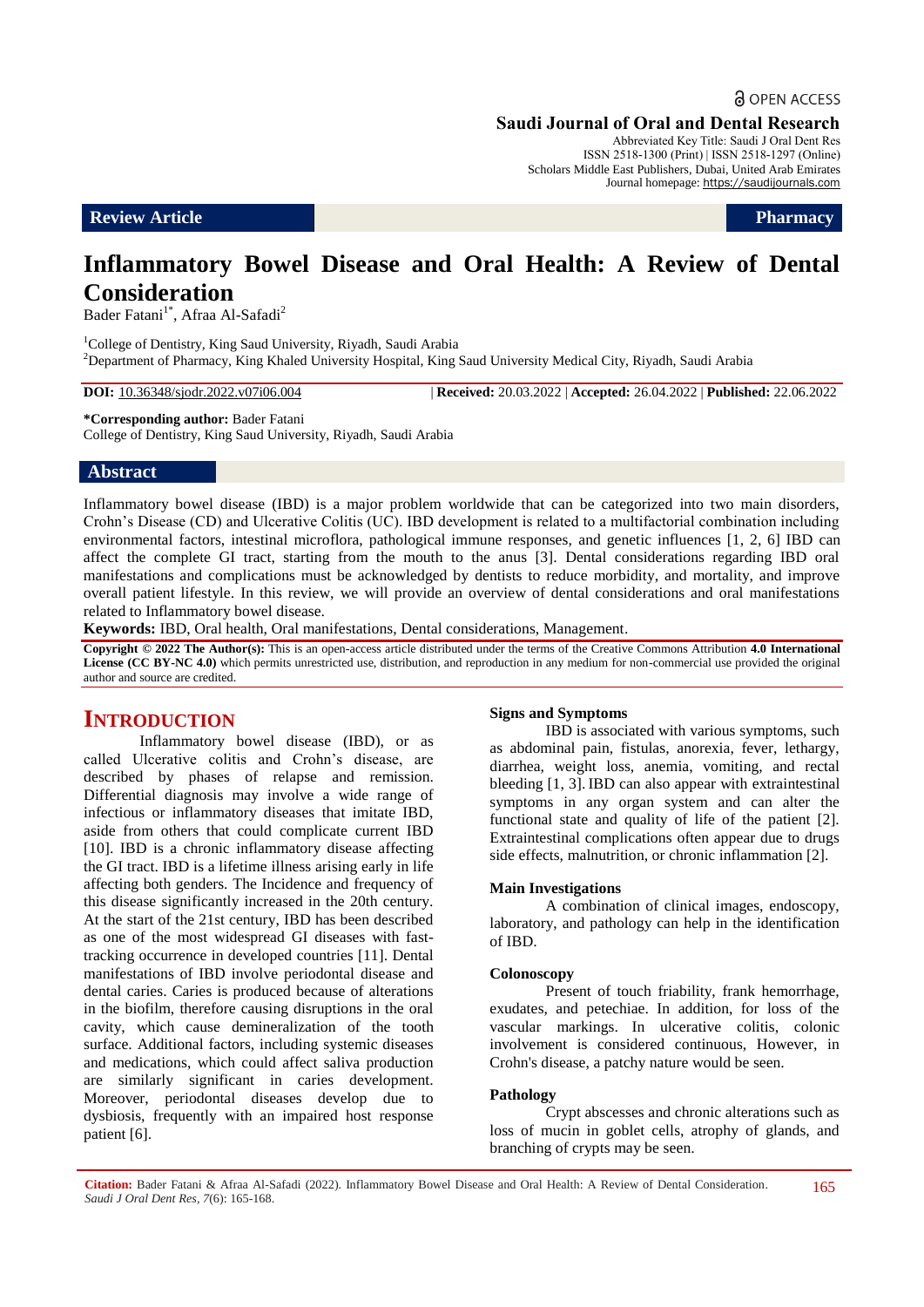## **a** OPEN ACCESS

#### **Saudi Journal of Oral and Dental Research**

Abbreviated Key Title: Saudi J Oral Dent Res ISSN 2518-1300 (Print) | ISSN 2518-1297 (Online) Scholars Middle East Publishers, Dubai, United Arab Emirates Journal homepage: https://saudijournals.com

**Review Article Pharmacy** 

# **Inflammatory Bowel Disease and Oral Health: A Review of Dental Consideration**

Bader Fatani<sup>1\*</sup>, Afraa Al-Safadi<sup>2</sup>

<sup>1</sup>College of Dentistry, King Saud University, Riyadh, Saudi Arabia <sup>2</sup>Department of Pharmacy, King Khaled University Hospital, King Saud University Medical City, Riyadh, Saudi Arabia

**DOI:** 10.36348/sjodr.2022.v07i06.004 | **Received:** 20.03.2022 | **Accepted:** 26.04.2022 | **Published:** 22.06.2022

**\*Corresponding author:** Bader Fatani College of Dentistry, King Saud University, Riyadh, Saudi Arabia

#### **Abstract**

Inflammatory bowel disease (IBD) is a major problem worldwide that can be categorized into two main disorders, Crohn's Disease (CD) and Ulcerative Colitis (UC). IBD development is related to a multifactorial combination including environmental factors, intestinal microflora, pathological immune responses, and genetic influences [1, 2, 6] IBD can affect the complete GI tract, starting from the mouth to the anus [3]. Dental considerations regarding IBD oral manifestations and complications must be acknowledged by dentists to reduce morbidity, and mortality, and improve overall patient lifestyle. In this review, we will provide an overview of dental considerations and oral manifestations related to Inflammatory bowel disease.

**Keywords:** IBD, Oral health, Oral manifestations, Dental considerations, Management.

**Copyright © 2022 The Author(s):** This is an open-access article distributed under the terms of the Creative Commons Attribution **4.0 International**  License (CC BY-NC 4.0) which permits unrestricted use, distribution, and reproduction in any medium for non-commercial use provided the original author and source are credited.

## **INTRODUCTION**

Inflammatory bowel disease (IBD), or as called Ulcerative colitis and Crohn's disease, are described by phases of relapse and remission. Differential diagnosis may involve a wide range of infectious or inflammatory diseases that imitate IBD, aside from others that could complicate current IBD [10]. IBD is a chronic inflammatory disease affecting the GI tract. IBD is a lifetime illness arising early in life affecting both genders. The Incidence and frequency of this disease significantly increased in the 20th century. At the start of the 21st century, IBD has been described as one of the most widespread GI diseases with fasttracking occurrence in developed countries [11]. Dental manifestations of IBD involve periodontal disease and dental caries. Caries is produced because of alterations in the biofilm, therefore causing disruptions in the oral cavity, which cause demineralization of the tooth surface. Additional factors, including systemic diseases and medications, which could affect saliva production are similarly significant in caries development. Moreover, periodontal diseases develop due to dysbiosis, frequently with an impaired host response patient [6].

#### **Signs and Symptoms**

IBD is associated with various symptoms, such as abdominal pain, fistulas, anorexia, fever, lethargy, diarrhea, weight loss, anemia, vomiting, and rectal bleeding [1, 3]. IBD can also appear with extraintestinal symptoms in any organ system and can alter the functional state and quality of life of the patient [2]. Extraintestinal complications often appear due to drugs side effects, malnutrition, or chronic inflammation [2].

#### **Main Investigations**

A combination of clinical images, endoscopy, laboratory, and pathology can help in the identification of IBD.

#### **Colonoscopy**

Present of touch friability, frank hemorrhage, exudates, and petechiae. In addition, for loss of the vascular markings. In ulcerative colitis, colonic involvement is considered continuous, However, in Crohn's disease, a patchy nature would be seen.

#### **Pathology**

Crypt abscesses and chronic alterations such as loss of mucin in goblet cells, atrophy of glands, and branching of crypts may be seen.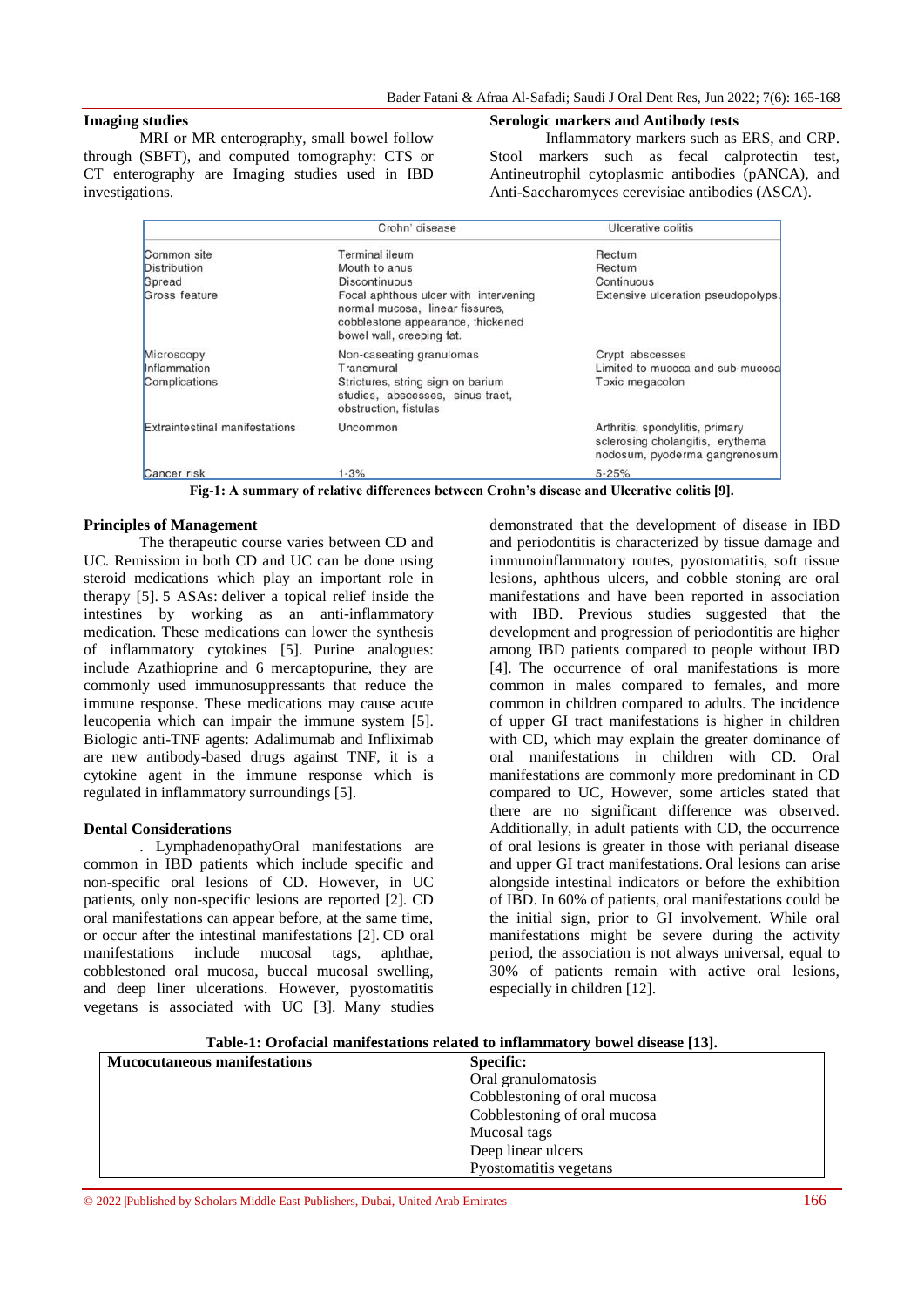#### **Imaging studies**

MRI or MR enterography, small bowel follow through (SBFT), and computed tomography: CTS or CT enterography are Imaging studies used in IBD investigations.

#### **Serologic markers and Antibody tests**

Inflammatory markers such as ERS, and CRP. Stool markers such as fecal calprotectin test, Antineutrophil cytoplasmic antibodies (pANCA), and Anti-Saccharomyces cerevisiae antibodies (ASCA).

|                                | Crohn' disease                                                                                                                             | Ulcerative colitis                                                                                   |
|--------------------------------|--------------------------------------------------------------------------------------------------------------------------------------------|------------------------------------------------------------------------------------------------------|
| Common site                    | Terminal ileum                                                                                                                             | Rectum                                                                                               |
| <b>Distribution</b>            | Mouth to anus                                                                                                                              | Rectum                                                                                               |
| Spread                         | <b>Discontinuous</b>                                                                                                                       | Continuous                                                                                           |
| Gross feature                  | Focal aphthous ulcer with intervening<br>normal mucosa, linear fissures,<br>cobblestone appearance, thickened<br>bowel wall, creeping fat. | Extensive ulceration pseudopolyps.                                                                   |
| Microscopy                     | Non-caseating granulomas                                                                                                                   | Crypt abscesses                                                                                      |
| Inflammation                   | Transmural                                                                                                                                 | Limited to mucosa and sub-mucosa                                                                     |
| Complications                  | Strictures, string sign on barium<br>studies, abscesses, sinus tract,<br>obstruction, fistulas                                             | Toxic megacolon                                                                                      |
| Extraintestinal manifestations | Uncommon                                                                                                                                   | Arthritis, spondylitis, primary<br>sclerosing cholangitis, erythema<br>nodosum, pyoderma gangrenosum |
| Cancer risk                    | $1 - 3%$                                                                                                                                   | $5 - 25%$                                                                                            |

**Fig-1: A summary of relative differences between Crohn's disease and Ulcerative colitis [9].**

#### **Principles of Management**

The therapeutic course varies between CD and UC. Remission in both CD and UC can be done using steroid medications which play an important role in therapy [5]. 5 ASAs: deliver a topical relief inside the intestines by working as an anti-inflammatory medication. These medications can lower the synthesis of inflammatory cytokines [5]. Purine analogues: include Azathioprine and 6 mercaptopurine, they are commonly used immunosuppressants that reduce the immune response. These medications may cause acute leucopenia which can impair the immune system [5]. Biologic anti-TNF agents: Adalimumab and Infliximab are new antibody-based drugs against TNF, it is a cytokine agent in the immune response which is regulated in inflammatory surroundings [5].

#### **Dental Considerations**

. LymphadenopathyOral manifestations are common in IBD patients which include specific and non-specific oral lesions of CD. However, in UC patients, only non-specific lesions are reported [2]. CD oral manifestations can appear before, at the same time, or occur after the intestinal manifestations [2]. CD oral manifestations include mucosal tags, aphthae, cobblestoned oral mucosa, buccal mucosal swelling, and deep liner ulcerations. However, pyostomatitis vegetans is associated with UC [3]. Many studies

demonstrated that the development of disease in IBD and periodontitis is characterized by tissue damage and immunoinflammatory routes, pyostomatitis, soft tissue lesions, aphthous ulcers, and cobble stoning are oral manifestations and have been reported in association with IBD. Previous studies suggested that the development and progression of periodontitis are higher among IBD patients compared to people without IBD [4]. The occurrence of oral manifestations is more common in males compared to females, and more common in children compared to adults. The incidence of upper GI tract manifestations is higher in children with CD, which may explain the greater dominance of oral manifestations in children with CD. Oral manifestations are commonly more predominant in CD compared to UC, However, some articles stated that there are no significant difference was observed. Additionally, in adult patients with CD, the occurrence of oral lesions is greater in those with perianal disease and upper GI tract manifestations. Oral lesions can arise alongside intestinal indicators or before the exhibition of IBD. In 60% of patients, oral manifestations could be the initial sign, prior to GI involvement. While oral manifestations might be severe during the activity period, the association is not always universal, equal to 30% of patients remain with active oral lesions, especially in children [12].

**Table-1: Orofacial manifestations related to inflammatory bowel disease [13].**

| <b>Mucocutaneous manifestations</b> | <b>Specific:</b>             |  |
|-------------------------------------|------------------------------|--|
|                                     | Oral granulomatosis          |  |
|                                     | Cobblestoning of oral mucosa |  |
|                                     | Cobblestoning of oral mucosa |  |
|                                     | Mucosal tags                 |  |
|                                     | Deep linear ulcers           |  |
|                                     | Pyostomatitis vegetans       |  |

© 2022 |Published by Scholars Middle East Publishers, Dubai, United Arab Emirates 166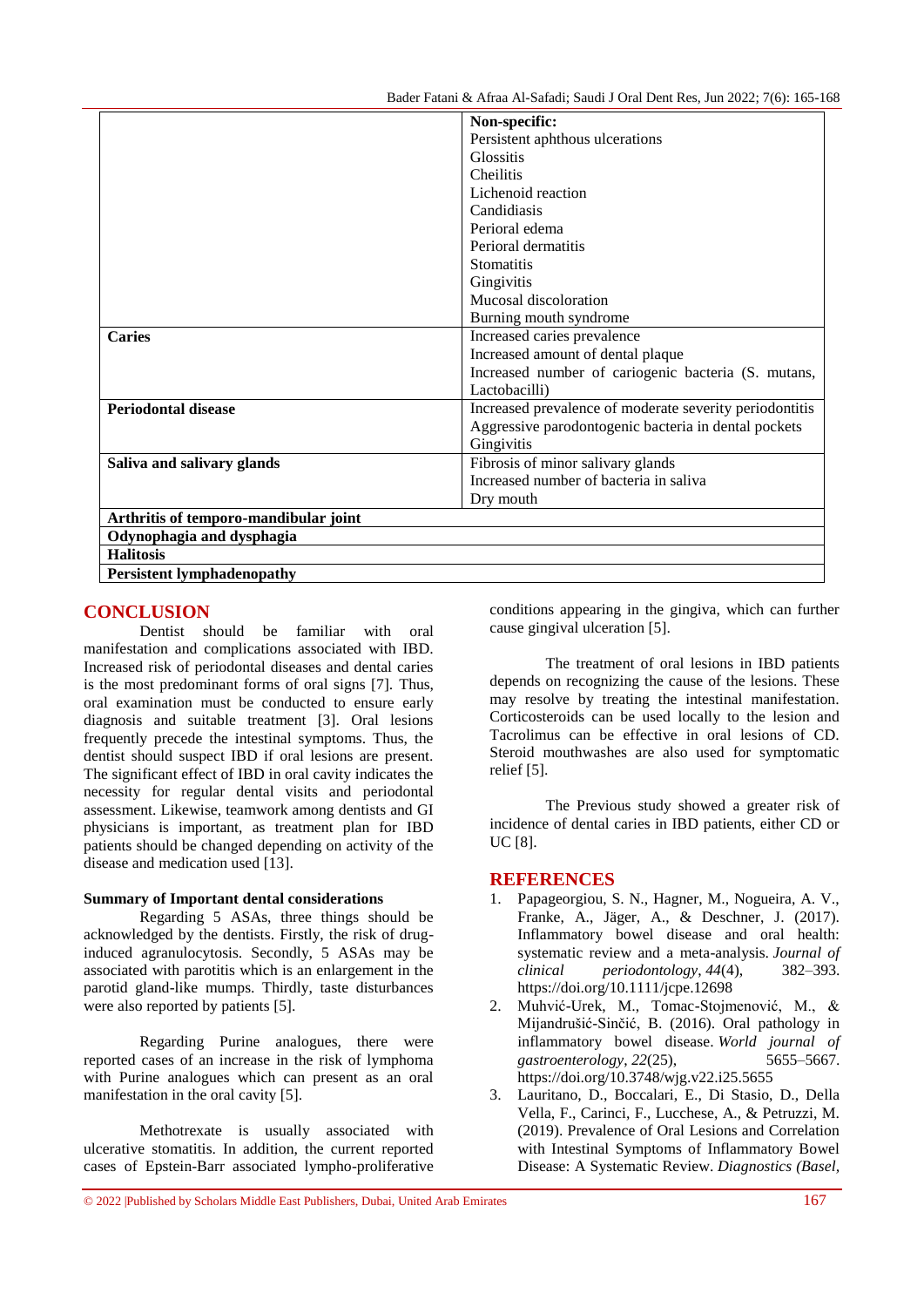|                                       | Non-specific:                                           |  |
|---------------------------------------|---------------------------------------------------------|--|
|                                       | Persistent aphthous ulcerations                         |  |
|                                       | Glossitis                                               |  |
|                                       | <b>Cheilitis</b>                                        |  |
|                                       | Lichenoid reaction                                      |  |
|                                       | Candidiasis                                             |  |
|                                       | Perioral edema                                          |  |
|                                       | Perioral dermatitis                                     |  |
|                                       | <b>Stomatitis</b>                                       |  |
|                                       | Gingivitis                                              |  |
|                                       | Mucosal discoloration                                   |  |
|                                       | Burning mouth syndrome                                  |  |
| <b>Caries</b>                         | Increased caries prevalence                             |  |
|                                       | Increased amount of dental plaque                       |  |
|                                       | Increased number of cariogenic bacteria (S. mutans,     |  |
|                                       | Lactobacilli)                                           |  |
| <b>Periodontal disease</b>            | Increased prevalence of moderate severity periodontitis |  |
|                                       | Aggressive parodontogenic bacteria in dental pockets    |  |
|                                       | Gingivitis                                              |  |
| Saliva and salivary glands            | Fibrosis of minor salivary glands                       |  |
|                                       | Increased number of bacteria in saliva                  |  |
|                                       | Dry mouth                                               |  |
| Arthritis of temporo-mandibular joint |                                                         |  |
| Odynophagia and dysphagia             |                                                         |  |
| <b>Halitosis</b>                      |                                                         |  |
| <b>Persistent lymphadenopathy</b>     |                                                         |  |

## **CONCLUSION**

Dentist should be familiar with oral manifestation and complications associated with IBD. Increased risk of periodontal diseases and dental caries is the most predominant forms of oral signs [7]. Thus, oral examination must be conducted to ensure early diagnosis and suitable treatment [3]. Oral lesions frequently precede the intestinal symptoms. Thus, the dentist should suspect IBD if oral lesions are present. The significant effect of IBD in oral cavity indicates the necessity for regular dental visits and periodontal assessment. Likewise, teamwork among dentists and GI physicians is important, as treatment plan for IBD patients should be changed depending on activity of the disease and medication used [13].

#### **Summary of Important dental considerations**

Regarding 5 ASAs, three things should be acknowledged by the dentists. Firstly, the risk of druginduced agranulocytosis. Secondly, 5 ASAs may be associated with parotitis which is an enlargement in the parotid gland-like mumps. Thirdly, taste disturbances were also reported by patients [5].

Regarding Purine analogues, there were reported cases of an increase in the risk of lymphoma with Purine analogues which can present as an oral manifestation in the oral cavity [5].

Methotrexate is usually associated with ulcerative stomatitis. In addition, the current reported cases of Epstein-Barr associated lympho-proliferative conditions appearing in the gingiva, which can further cause gingival ulceration [5].

The treatment of oral lesions in IBD patients depends on recognizing the cause of the lesions. These may resolve by treating the intestinal manifestation. Corticosteroids can be used locally to the lesion and Tacrolimus can be effective in oral lesions of CD. Steroid mouthwashes are also used for symptomatic relief [5].

The Previous study showed a greater risk of incidence of dental caries in IBD patients, either CD or UC [8].

### **REFERENCES**

- 1. Papageorgiou, S. N., Hagner, M., Nogueira, A. V., Franke, A., Jäger, A., & Deschner, J. (2017). Inflammatory bowel disease and oral health: systematic review and a meta-analysis. *Journal of clinical periodontology*, *44*(4), 382–393. <https://doi.org/10.1111/jcpe.12698>
- 2. Muhvić-Urek, M., Tomac-Stojmenović, M., & Mijandrušić-Sinčić, B. (2016). Oral pathology in inflammatory bowel disease. *World journal of gastroenterology*, *22*(25), 5655–5667. <https://doi.org/10.3748/wjg.v22.i25.5655>
- 3. Lauritano, D., Boccalari, E., Di Stasio, D., Della Vella, F., Carinci, F., Lucchese, A., & Petruzzi, M. (2019). Prevalence of Oral Lesions and Correlation with Intestinal Symptoms of Inflammatory Bowel Disease: A Systematic Review. *Diagnostics (Basel,*